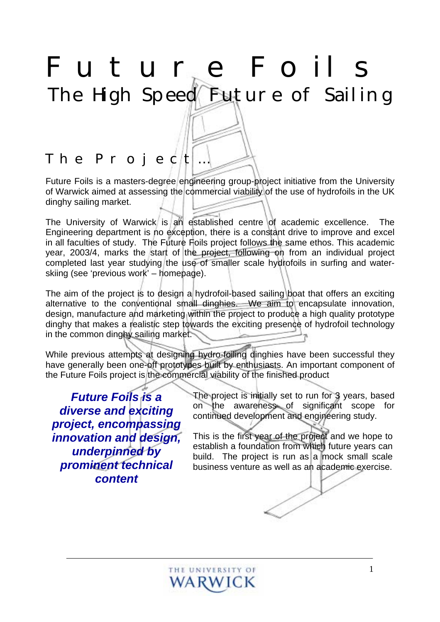# *Future Foils*  The High Speed Future of Sailing

## *The Project…*

Future Foils is a masters-degree engineering group-project initiative from the University of Warwick aimed at assessing the commercial viability of the use of hydrofoils in the UK dinghy sailing market.

The University of Warwick is an established centre of academic excellence. The Engineering department is no exception, there is a constant drive to improve and excel in all faculties of study. The Future Foils project follows the same ethos. This academic year, 2003/4, marks the start of the project, following on from an individual project completed last year studying the use of smaller scale hydrofoils in surfing and waterskiing (see 'previous work' – homepage).

The aim of the project is to design a hydrofoil-based sailing boat that offers an exciting alternative to the conventional small dinghies. We aim to encapsulate innovation, design, manufacture and marketing within the project to produce a high quality prototype dinghy that makes a realistic step towards the exciting presence of hydrofoil technology in the common dinghy sailing market.

While previous attempts at designing hydro-foiling dinghies have been successful they have generally been one-off prototypes built by enthusiasts. An important component of the Future Foils project is the commercial viability of the finished product

*Future Foils is a diverse and exciting project, encompassing innovation and design, underpinned by prominent technical content* 

The project is initially set to run for 3 years, based on the awareness of significant scope for continued development and engineering study.

This is the first year of the project and we hope to establish a foundation from which future years can build. The project is run as a mock small scale business venture as well as an academic exercise.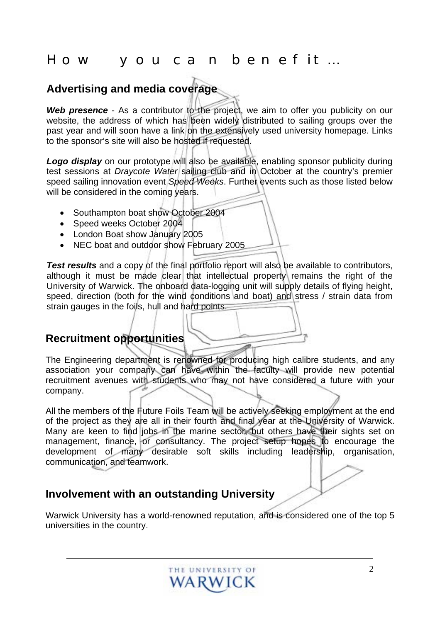### *How you can benefit…*

#### **Advertising and media coverage**

**Web presence** - As a contributor to the project, we aim to offer you publicity on our website, the address of which has been widely distributed to sailing groups over the past year and will soon have a link on the extensively used university homepage. Links to the sponsor's site will also be hosted if requested.

Logo display on our prototype will also be available, enabling sponsor publicity during test sessions at *Draycote Water* sailing club and in October at the country's premier speed sailing innovation event *Speed Weeks*. Further events such as those listed below will be considered in the coming years.

- Southampton boat show October 2004
- Speed weeks October 2004
- London Boat show January 2005
- NEC boat and outdoor show February 2005

**Test results** and a copy of the final portfolio report will also be available to contributors, although it must be made clear that intellectual property remains the right of the University of Warwick. The onboard data-logging unit will supply details of flying height, speed, direction (both for the wind conditions and boat) and stress / strain data from strain gauges in the foils, hull and hard points.

#### **Recruitment opportunities**

The Engineering department is renowned for producing high calibre students, and any association your company can have within the faculty will provide new potential recruitment avenues with students who may not have considered a future with your company.

All the members of the Future Foils Team will be actively seeking employment at the end of the project as they are all in their fourth and final year at the University of Warwick. Many are keen to find jobs in the marine sector, but others have their sights set on management, finance, or consultancy. The project setup hopes to encourage the development of many desirable soft skills including leadership, organisation, communication, and teamwork.

#### **Involvement with an outstanding University**

Warwick University has a world-renowned reputation, and is considered one of the top 5 universities in the country.

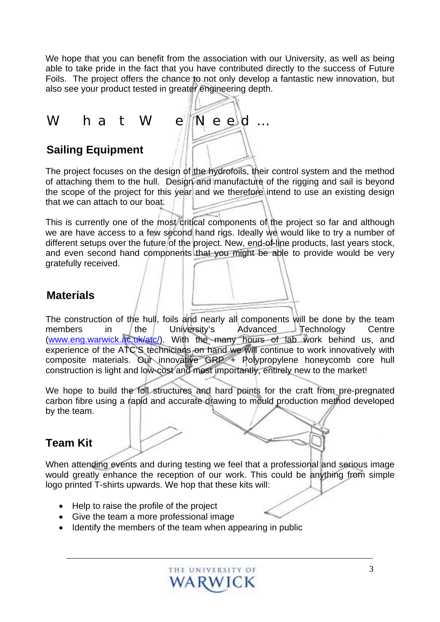We hope that you can benefit from the association with our University, as well as being able to take pride in the fact that you have contributed directly to the success of Future Foils. The project offers the chance to not only develop a fantastic new innovation, but also see your product tested in greater engineering depth.

*What We Need…* 

#### **Sailing Equipment**

The project focuses on the design of the hydrofoils, their control system and the method of attaching them to the hull. Design and manufacture of the rigging and sail is beyond the scope of the project for this year and we therefore intend to use an existing design that we can attach to our boat.

This is currently one of the most critical components of the project so far and although we are have access to a few second hand rigs. Ideally we would like to try a number of different setups over the future of the project. New, end-of-line products, last years stock, and even second hand components that you might be able to provide would be very gratefully received.

#### **Materials**

The construction of the hull, foils and nearly all components will be done by the team members in the University's Advanced Technology Centre ([www.eng.warwick.ac.uk/atc/\)](http://www.eng.warwick.ac.uk/atc/). With the many hours of lab work behind us, and experience of the ATC'S technicians on hand we will continue to work innovatively with composite materials. Our innovative GRP + Polypropylene honeycomb core hull construction is light and low-cost and most importantly, entirely new to the market!

We hope to build the foil structures and hard points for the craft from pre-pregnated carbon fibre using a rapid and accurate drawing to mould production method developed by the team.

#### **Team Kit**

When attending events and during testing we feel that a professional and serious image would greatly enhance the reception of our work. This could be anything from simple logo printed T-shirts upwards. We hop that these kits will:

- Help to raise the profile of the project
- Give the team a more professional image
- Identify the members of the team when appearing in public